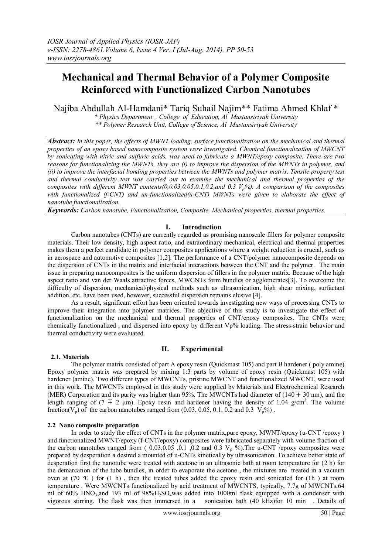# **Mechanical and Thermal Behavior of a Polymer Composite Reinforced with Functionalized Carbon Nanotubes**

Najiba Abdullah Al-Hamdani\* Tariq Suhail Najim\*\* Fatima Ahmed Khlaf \*

*\* Physics Department , College of Education, Al Mustansiriyah University \*\* Polymer Research Unit, College of Science, Al Mustansiriyah University*

*Abstract: In this paper, the effects of MWNT loading, surface functionalization on the mechanical and thermal properties of an epoxy based nanocomposite system were investigated. Chemical functionalization of MWCNT by sonicating with nitric and sulfuric acids, was used to fabricate a MWNT/epoxy composite. There are two reasons for functionalizing the MWNTs, they are (i) to improve the dispersion of the MWNTs in polymer, and (ii) to improve the interfacial bonding properties between the MWNTs and polymer matrix. Tensile property test and thermal conductivity test was carried out to examine the mechanical and thermal properties of the composites with different MWNT contents(0,0.03,0.05,0.1,0.2,and 0.3 Vp%). A comparison of the composites with functionalized (f-CNT) and un-functionalized(u-CNT) MWNTs were given to elaborate the effect of nanotube functionalization.*

*Keywords: Carbon nanotube, Functionalization, Composite, Mechanical properties, thermal properties.*

## **I. Introduction**

Carbon nanotubes (CNTs) are currently regarded as promising nanoscale fillers for polymer composite materials. Their low density, high aspect ratio, and extraordinary mechanical, electrical and thermal properties makes them a perfect candidate in polymer composites applications where a weight reduction is crucial, such as in aerospace and automotive composites [1,2]. The performance of a CNT/polymer nanocomposite depends on the dispersion of CNTs in the matrix and interfacial interactions between the CNT and the polymer. The main issue in preparing nanocomposites is the uniform dispersion of fillers in the polymer matrix. Because of the high aspect ratio and van der Waals attractive forces, MWCNTs form bundles or agglomerates[3]. To overcome the difficulty of dispersion, mechanical/physical methods such as ultrasonication, high shear mixing, surfactant addition, etc. have been used, however, successful dispersion remains elusive [4].

As a result, significant effort has been oriented towards investigating new ways of processing CNTs to improve their integration into polymer matrices. The objective of this study is to investigate the effect of functionalization on the mechanical and thermal properties of CNT/epoxy composites. The CNTs were chemically functionalized , and dispersed into epoxy by different Vp% loading. The stress-strain behavior and thermal conductivity were evaluated.

## **II. Experimental**

## **2.1. Materials**

The polymer matrix consisted of part A epoxy resin (Quickmast 105) and part B hardener ( poly amine) Epoxy polymer matrix was prepared by mixing 1:3 parts by volume of epoxy resin (Quickmast 105) with hardener (amine). Two different types of MWCNTs, pristine MWCNT and functionalized MWCNT, were used in this work. The MWCNTs employed in this study were supplied by Materials and Electrochemical Research (MER) Corporation and its purity was higher than 95%. The MWCNTs had diameter of (140 ∓ 30 nm), and the length ranging of  $(7 \pm 2 \mu m)$ . Epoxy resin and hardener having the density of 1.04 g/cm<sup>3</sup>. The volume fraction( $V_p$ ) of the carbon nanotubes ranged from (0.03, 0.05, 0.1, 0.2 and 0.3  $V_p\%$ ).

## **2.2 Nano composite preparation**

In order to study the effect of CNTs in the polymer matrix,pure epoxy, MWNT/epoxy (u-CNT /epoxy ) and functionalized MWNT/epoxy (f-CNT/epoxy) composites were fabricated separately with volume fraction of the carbon nanotubes ranged from  $(0.03, 0.05, 0.1, 0.2, 0.1, 0.3, V_p, 0.9)$ . The u-CNT /epoxy composites were prepared by desperation a desired a mounted of u-CNTs kinetically by ultrasonication. To achieve better state of desperation first the nanotube were treated with acetone in an ultrasonic bath at room temperature for (2 h) for the demarcation of the tube bundles, in order to evaporate the acetone , the mixtures are treated in a vacuum oven at (70 °C) for (1 h), then the treated tubes added the epoxy resin and sonicated for (1h) at room temperature . Were MWCNTs functionalized by acid treatment of MWCNTS, typically, 7.7g of MWCNTs,64 ml of 60% HNO<sub>3</sub>, and 193 ml of 98% $H_2SO_4$  was added into 1000ml flask equipped with a condenser with vigorous stirring. The flask was then immersed in a sonication bath (40 kHz) for 10 min. Details of vigorous stirring. The flask was then immersed in a sonication bath (40 kHz)for 10 min . Details of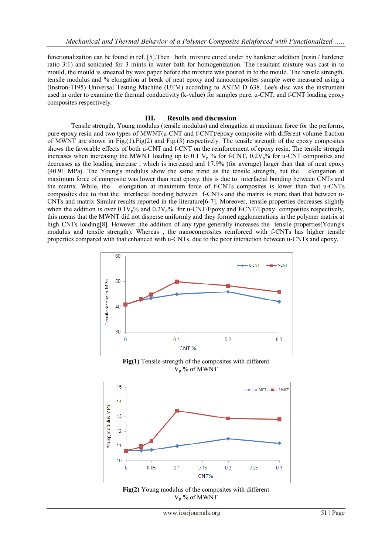functionalization can be found in ref. [5].Then both mixture cured under by hardener addition (resin / hardener ratio 3:1) and sonicated for 3 mints in water bath for homogenization. The resultant mixture was cast in to mould, the mould is smeared by wax paper before the mixture was poured in to the mould. The tensile strength, tensile modulus and % elongation at break of neat epoxy and nanocomposites sample were measured using a (Instron-1195) Universal Testing Machine (UTM) according to ASTM D 638. Lee's disc was the instrument used in order to examine the thermal conductivity (k-value) for samples pure, u-CNT, and f-CNT loading epoxy composites respectively.

#### **III. Results and discussion**

Tensile strength, Young modulus (tensile modulus) and elongation at maximum force for the performs, pure epoxy resin and two types of MWNT(u-CNT and f-CNT)/epoxy composite with different volume fraction of MWNT are shown in Fig.(1),Fig(2) and Fig.(3) respectively. The tensile strength of the epoxy composites shows the favorable effects of both u-CNT and f-CNT on the reinforcement of epoxy resin. The tensile strength increases when increasing the MWNT loading up to 0.1  $V_p$ % for f-CNT, 0.2 $V_p$ % for u-CNT composites and decreases as the loading increase , which is increased and 17.9% (for average) larger than that of neat epoxy (40.91 MPa). The Young's modulus show the same trend as the tensile strength, but the elongation at maximum force of composite was lower than neat epoxy, this is due to interfacial bonding between CNTs and the matrix. While, the elongation at maximum force of f-CNTs composites is lower than that u-CNTs composites due to that the interfacial bonding between f-CNTs and the matrix is more than that between u-CNTs and matrix Similar results reported in the literature[6-7]. Moreover, tensile properties decreases slightly when the addition is over  $0.1V_p\%$  and  $0.2V_p\%$  for u-CNT/Epoxy and f-CNT/Epoxy composites respectively, this means that the MWNT did not disperse uniformly and they formed agglomerations in the polymer matrix at high CNTs loading[8]. However ,the addition of any type generally increases the tensile properties(Young's modulus and tensile strength). Whereas , the nanocomposites reinforced with f-CNTs has higher tensile properties compared with that enhanced with u-CNTs, due to the poor interaction between u-CNTs and epoxy.



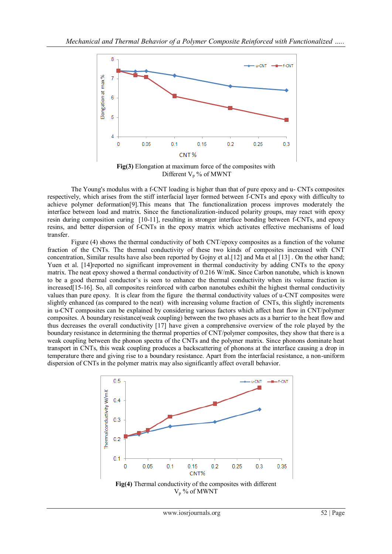

**Fig(3)** Elongation at maximum force of the composites with Different  $V_p$ % of MWNT

The Young's modulus with a f-CNT loading is higher than that of pure epoxy and u- CNTs composites respectively, which arises from the stiff interfacial layer formed between f-CNTs and epoxy with difficulty to achieve polymer deformation[9].This means that The functionalization process improves moderately the interface between load and matrix. Since the functionalization-induced polarity groups, may react with epoxy resin during composition curing [10-11], resulting in stronger interface bonding between f-CNTs, and epoxy resins, and better dispersion of f-CNTs in the epoxy matrix which activates effective mechanisms of load transfer.

Figure (4) shows the thermal conductivity of both CNT/epoxy composites as a function of the volume fraction of the CNTs. The thermal conductivity of these two kinds of composites increased with CNT concentration, Similar results have also been reported by Gojny et al.[12] and Ma et al [13] . On the other hand; Yuen et al. [14]reported no significant improvement in thermal conductivity by adding CNTs to the epoxy matrix. The neat epoxy showed a thermal conductivity of 0.216 W/mK. Since Carbon nanotube, which is known to be a good thermal conductor's is seen to enhance the thermal conductivity when its volume fraction is increased[15-16]. So, all composites reinforced with carbon nanotubes exhibit the highest thermal conductivity values than pure epoxy. It is clear from the figure the thermal conductivity values of u-CNT composites were slightly enhanced (as compared to the neat) with increasing volume fraction of CNTs, this slightly increments in u-CNT composites can be explained by considering various factors which affect heat flow in CNT/polymer composites. A boundary resistance(weak coupling) between the two phases acts as a barrier to the heat flow and thus decreases the overall conductivity [17] have given a comprehensive overview of the role played by the boundary resistance in determining the thermal properties of CNT/polymer composites, they show that there is a weak coupling between the phonon spectra of the CNTs and the polymer matrix. Since phonons dominate heat transport in CNTs, this weak coupling produces a backscattering of phonons at the interface causing a drop in temperature there and giving rise to a boundary resistance. Apart from the interfacial resistance, a non-uniform dispersion of CNTs in the polymer matrix may also significantly affect overall behavior.